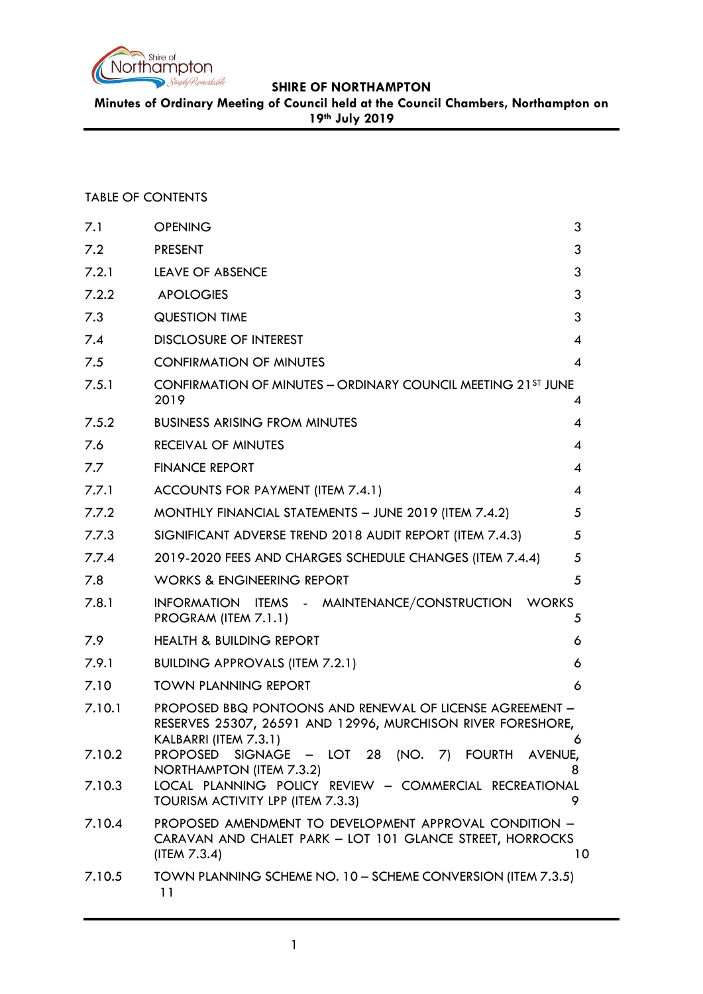

**Minutes of Ordinary Meeting of Council held at the Council Chambers, Northampton on 19th July 2019**

TABLE OF CONTENTS

| 7.1    | <b>OPENING</b>                                                                                                                                   | 3  |
|--------|--------------------------------------------------------------------------------------------------------------------------------------------------|----|
| 7.2    | <b>PRESENT</b>                                                                                                                                   | 3  |
| 7.2.1  | LEAVE OF ABSENCE                                                                                                                                 | 3  |
| 7.2.2  | <b>APOLOGIES</b>                                                                                                                                 | 3  |
| 7.3    | <b>QUESTION TIME</b>                                                                                                                             | 3  |
| 7.4    | <b>DISCLOSURE OF INTEREST</b>                                                                                                                    | 4  |
| 7.5    | <b>CONFIRMATION OF MINUTES</b>                                                                                                                   | 4  |
| 7.5.1  | <b>CONFIRMATION OF MINUTES - ORDINARY COUNCIL MEETING 21ST JUNE</b><br>2019                                                                      | 4  |
| 7.5.2  | <b>BUSINESS ARISING FROM MINUTES</b>                                                                                                             | 4  |
| 7.6    | <b>RECEIVAL OF MINUTES</b>                                                                                                                       | 4  |
| 7.7    | <b>FINANCE REPORT</b>                                                                                                                            | 4  |
| 7.7.1  | ACCOUNTS FOR PAYMENT (ITEM 7.4.1)                                                                                                                | 4  |
| 7.7.2  | MONTHLY FINANCIAL STATEMENTS - JUNE 2019 (ITEM 7.4.2)                                                                                            | 5  |
| 7.7.3  | SIGNIFICANT ADVERSE TREND 2018 AUDIT REPORT (ITEM 7.4.3)                                                                                         | 5  |
| 7.7.4  | 2019-2020 FEES AND CHARGES SCHEDULE CHANGES (ITEM 7.4.4)                                                                                         | 5  |
| 7.8    | <b>WORKS &amp; ENGINEERING REPORT</b>                                                                                                            | 5  |
| 7.8.1  | INFORMATION ITEMS - MAINTENANCE/CONSTRUCTION<br><b>WORKS</b><br>PROGRAM (ITEM 7.1.1)                                                             | 5  |
| 7.9    | <b>HEALTH &amp; BUILDING REPORT</b>                                                                                                              | 6  |
| 7.9.1  | <b>BUILDING APPROVALS (ITEM 7.2.1)</b>                                                                                                           | 6  |
| 7.10   | <b>TOWN PLANNING REPORT</b>                                                                                                                      | 6  |
| 7.10.1 | PROPOSED BBQ PONTOONS AND RENEWAL OF LICENSE AGREEMENT -<br>RESERVES 25307, 26591 AND 12996, MURCHISON RIVER FORESHORE,<br>KALBARRI (ITEM 7.3.1) | 6  |
| 7.10.2 | PROPOSED SIGNAGE - LOT 28 (NO. 7) FOURTH AVENUE,<br>NORTHAMPTON (ITEM 7.3.2)                                                                     | 8  |
| 7.10.3 | LOCAL PLANNING POLICY REVIEW - COMMERCIAL RECREATIONAL<br>TOURISM ACTIVITY LPP (ITEM 7.3.3)                                                      | 9  |
| 7.10.4 | PROPOSED AMENDMENT TO DEVELOPMENT APPROVAL CONDITION -<br>CARAVAN AND CHALET PARK - LOT 101 GLANCE STREET, HORROCKS<br>(ITERV 7.3.4)             | 10 |
| 7.10.5 | TOWN PLANNING SCHEME NO. 10 - SCHEME CONVERSION (ITEM 7.3.5)<br>11                                                                               |    |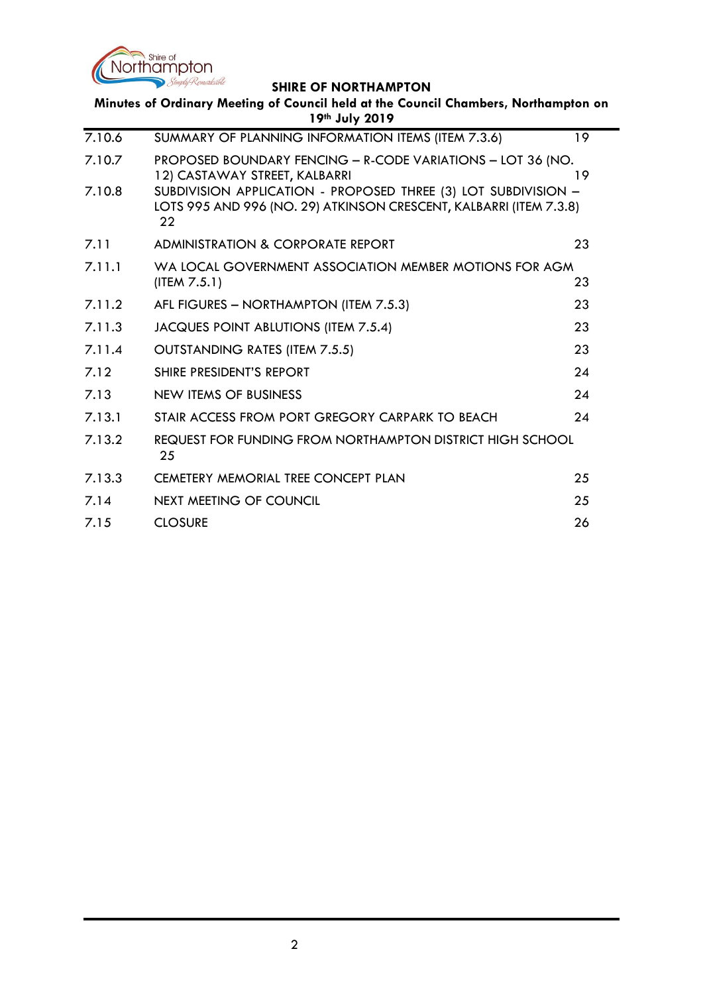

| Minutes of Ordinary Meeting of Council held at the Council Chambers, Northampton on<br>19th July 2019 |                                                                                                                                            |    |  |
|-------------------------------------------------------------------------------------------------------|--------------------------------------------------------------------------------------------------------------------------------------------|----|--|
| 7.10.6                                                                                                | SUMMARY OF PLANNING INFORMATION ITEMS (ITEM 7.3.6)                                                                                         | 19 |  |
| 7.10.7                                                                                                | PROPOSED BOUNDARY FENCING - R-CODE VARIATIONS - LOT 36 (NO.<br>12) CASTAWAY STREET, KALBARRI                                               | 19 |  |
| 7.10.8                                                                                                | SUBDIVISION APPLICATION - PROPOSED THREE (3) LOT SUBDIVISION -<br>LOTS 995 AND 996 (NO. 29) ATKINSON CRESCENT, KALBARRI (ITEM 7.3.8)<br>22 |    |  |
| 7.11                                                                                                  | ADMINISTRATION & CORPORATE REPORT                                                                                                          | 23 |  |
| 7.11.1                                                                                                | WA LOCAL GOVERNMENT ASSOCIATION MEMBER MOTIONS FOR AGM<br>(ITER 7.5.1)                                                                     | 23 |  |
| 7.11.2                                                                                                | AFL FIGURES - NORTHAMPTON (ITEM 7.5.3)                                                                                                     | 23 |  |
| 7.11.3                                                                                                | JACQUES POINT ABLUTIONS (ITEM 7.5.4)                                                                                                       | 23 |  |
| 7.11.4                                                                                                | <b>OUTSTANDING RATES (ITEM 7.5.5)</b>                                                                                                      | 23 |  |
| 7.12                                                                                                  | SHIRE PRESIDENT'S REPORT                                                                                                                   | 24 |  |
| 7.13                                                                                                  | NEW ITEMS OF BUSINESS                                                                                                                      | 24 |  |
| 7.13.1                                                                                                | STAIR ACCESS FROM PORT GREGORY CARPARK TO BEACH                                                                                            | 24 |  |
| 7.13.2                                                                                                | REQUEST FOR FUNDING FROM NORTHAMPTON DISTRICT HIGH SCHOOL<br>25                                                                            |    |  |
| 7.13.3                                                                                                | <b>CEMETERY MEMORIAL TREE CONCEPT PLAN</b>                                                                                                 | 25 |  |
| 7.14                                                                                                  | <b>NEXT MEETING OF COUNCIL</b>                                                                                                             | 25 |  |
| 7.15                                                                                                  | <b>CLOSURE</b>                                                                                                                             | 26 |  |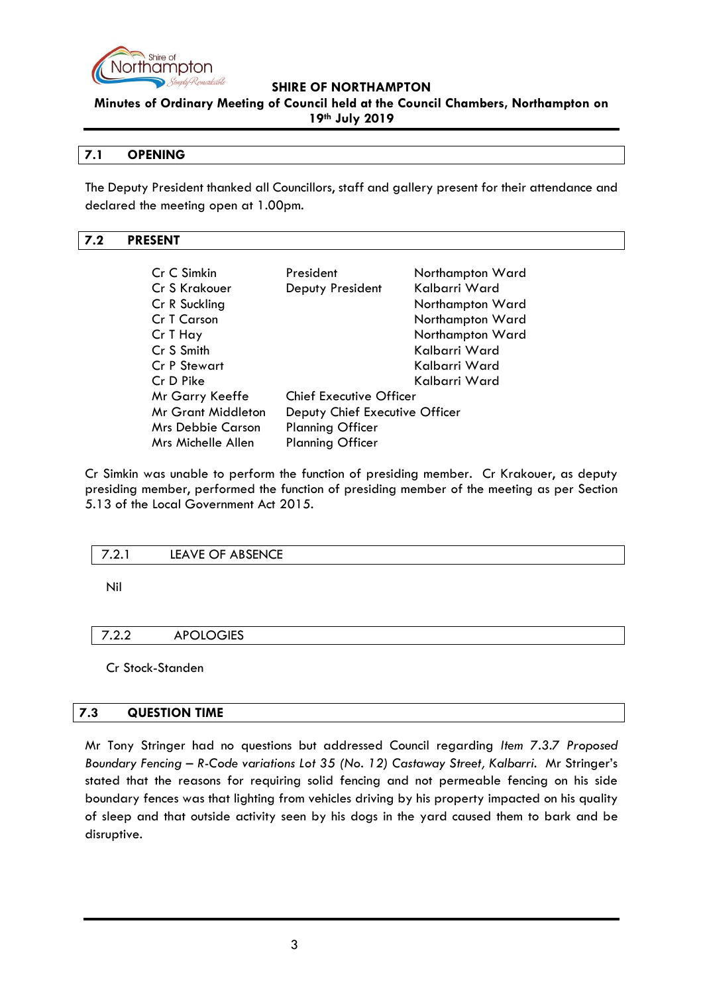

**Minutes of Ordinary Meeting of Council held at the Council Chambers, Northampton on 19th July 2019**

#### <span id="page-2-0"></span>**7.1 OPENING**

The Deputy President thanked all Councillors, staff and gallery present for their attendance and declared the meeting open at 1.00pm.

#### <span id="page-2-1"></span>**7.2 PRESENT**

| Cr C Simkin<br>Cr S Krakouer | President                      | Northampton Ward<br>Kalbarri Ward |
|------------------------------|--------------------------------|-----------------------------------|
|                              | Deputy President               |                                   |
| Cr R Suckling                |                                | Northampton Ward                  |
| Cr T Carson                  |                                | Northampton Ward                  |
| Cr T Hay                     |                                | Northampton Ward                  |
| Cr S Smith                   |                                | Kalbarri Ward                     |
| Cr P Stewart                 |                                | Kalbarri Ward                     |
| Cr D Pike                    |                                | Kalbarri Ward                     |
| Mr Garry Keeffe              | <b>Chief Executive Officer</b> |                                   |
| <b>Mr Grant Middleton</b>    | Deputy Chief Executive Officer |                                   |
| <b>Mrs Debbie Carson</b>     | <b>Planning Officer</b>        |                                   |
| Mrs Michelle Allen           | <b>Planning Officer</b>        |                                   |

Cr Simkin was unable to perform the function of presiding member. Cr Krakouer, as deputy presiding member, performed the function of presiding member of the meeting as per Section 5.13 of the Local Government Act 2015.

<span id="page-2-2"></span>

| <b>ARSENGE</b><br>I F∆VF<br>. н<br>_____<br>∼<br>$   -$ |  |
|---------------------------------------------------------|--|
|                                                         |  |

Nil

<span id="page-2-3"></span>7.2.2 APOLOGIES

Cr Stock-Standen

#### <span id="page-2-4"></span>**7.3 QUESTION TIME**

Mr Tony Stringer had no questions but addressed Council regarding *Item 7.3.7 Proposed Boundary Fencing – R-Code variations Lot 35 (No. 12) Castaway Street, Kalbarri.* Mr Stringer's stated that the reasons for requiring solid fencing and not permeable fencing on his side boundary fences was that lighting from vehicles driving by his property impacted on his quality of sleep and that outside activity seen by his dogs in the yard caused them to bark and be disruptive.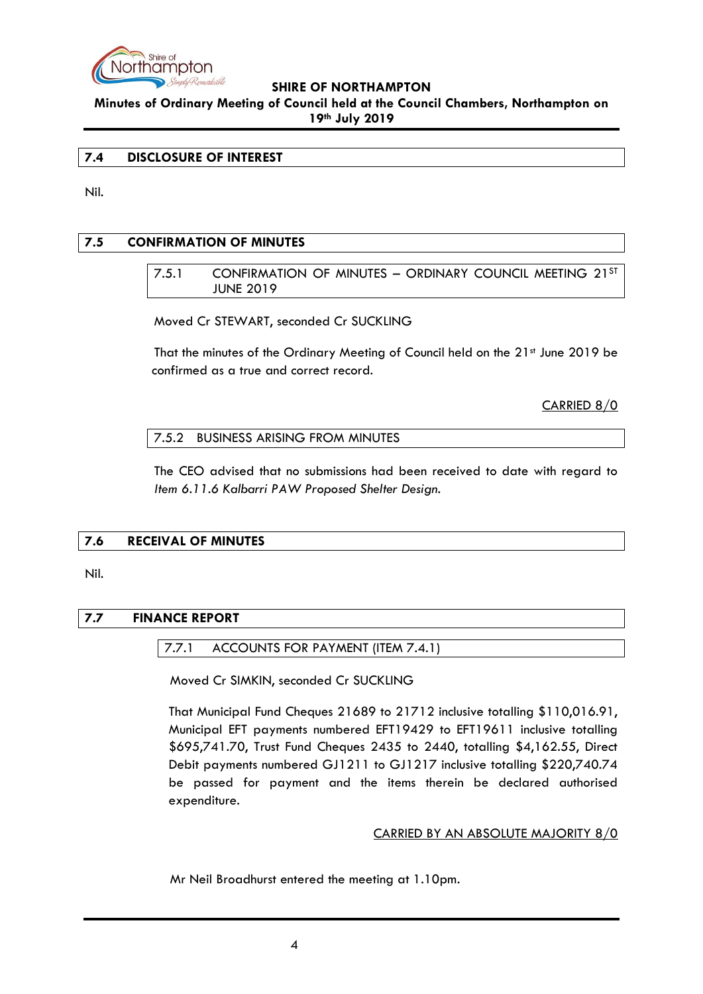

**Minutes of Ordinary Meeting of Council held at the Council Chambers, Northampton on 19th July 2019**

#### <span id="page-3-0"></span>**7.4 DISCLOSURE OF INTEREST**

Nil.

## <span id="page-3-2"></span><span id="page-3-1"></span>**7.5 CONFIRMATION OF MINUTES**

7.5.1 CONFIRMATION OF MINUTES – ORDINARY COUNCIL MEETING 21ST JUNE 2019

Moved Cr STEWART, seconded Cr SUCKLING

That the minutes of the Ordinary Meeting of Council held on the 21<sup>st</sup> June 2019 be confirmed as a true and correct record.

CARRIED 8/0

<span id="page-3-3"></span>7.5.2 BUSINESS ARISING FROM MINUTES

The CEO advised that no submissions had been received to date with regard to *Item 6.11.6 Kalbarri PAW Proposed Shelter Design.*

# <span id="page-3-4"></span>**7.6 RECEIVAL OF MINUTES**

#### Nil.

# <span id="page-3-6"></span><span id="page-3-5"></span>**7.7 FINANCE REPORT**

#### 7.7.1 ACCOUNTS FOR PAYMENT (ITEM 7.4.1)

Moved Cr SIMKIN, seconded Cr SUCKLING

That Municipal Fund Cheques 21689 to 21712 inclusive totalling \$110,016.91, Municipal EFT payments numbered EFT19429 to EFT19611 inclusive totalling \$695,741.70, Trust Fund Cheques 2435 to 2440, totalling \$4,162.55, Direct Debit payments numbered GJ1211 to GJ1217 inclusive totalling \$220,740.74 be passed for payment and the items therein be declared authorised expenditure.

#### CARRIED BY AN ABSOLUTE MAJORITY 8/0

Mr Neil Broadhurst entered the meeting at 1.10pm.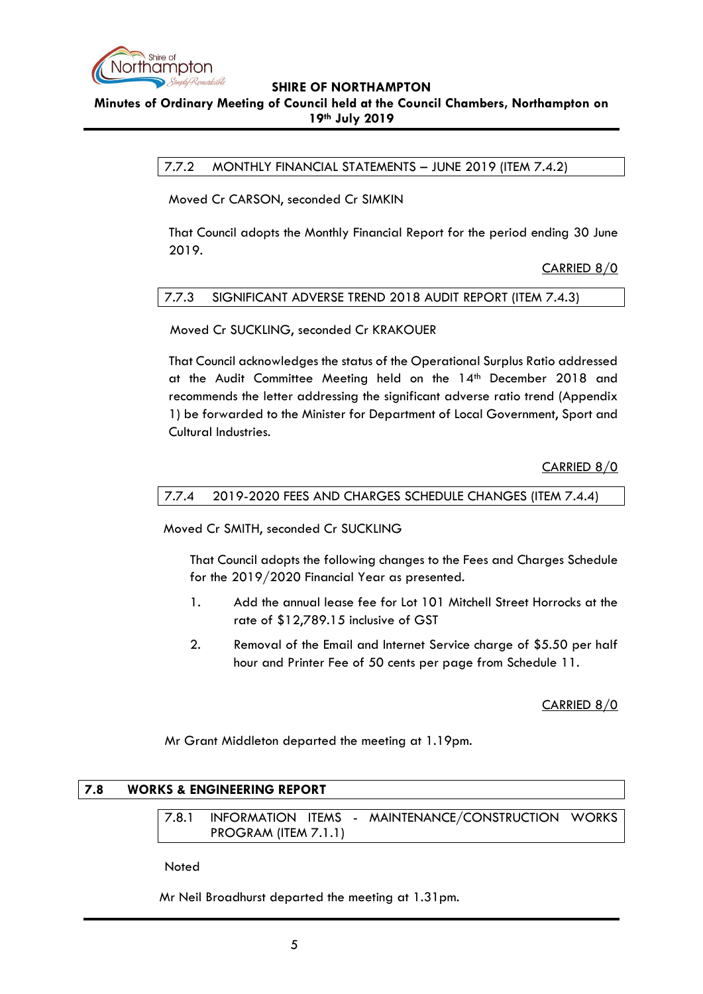

# <span id="page-4-0"></span>**Minutes of Ordinary Meeting of Council held at the Council Chambers, Northampton on 19th July 2019**

7.7.2 MONTHLY FINANCIAL STATEMENTS – JUNE 2019 (ITEM 7.4.2)

Moved Cr CARSON, seconded Cr SIMKIN

That Council adopts the Monthly Financial Report for the period ending 30 June 2019.

CARRIED 8/0

## <span id="page-4-1"></span>7.7.3 SIGNIFICANT ADVERSE TREND 2018 AUDIT REPORT (ITEM 7.4.3)

Moved Cr SUCKLING, seconded Cr KRAKOUER

That Council acknowledges the status of the Operational Surplus Ratio addressed at the Audit Committee Meeting held on the 14th December 2018 and recommends the letter addressing the significant adverse ratio trend (Appendix 1) be forwarded to the Minister for Department of Local Government, Sport and Cultural Industries.

CARRIED 8/0

#### <span id="page-4-2"></span>7.7.4 2019-2020 FEES AND CHARGES SCHEDULE CHANGES (ITEM 7.4.4)

Moved Cr SMITH, seconded Cr SUCKLING

That Council adopts the following changes to the Fees and Charges Schedule for the 2019/2020 Financial Year as presented.

- 1. Add the annual lease fee for Lot 101 Mitchell Street Horrocks at the rate of \$12,789.15 inclusive of GST
- 2. Removal of the Email and Internet Service charge of \$5.50 per half hour and Printer Fee of 50 cents per page from Schedule 11.

CARRIED 8/0

Mr Grant Middleton departed the meeting at 1.19pm.

# <span id="page-4-4"></span><span id="page-4-3"></span>**7.8 WORKS & ENGINEERING REPORT**

7.8.1 INFORMATION ITEMS - MAINTENANCE/CONSTRUCTION WORKS PROGRAM (ITEM 7.1.1)

Noted

Mr Neil Broadhurst departed the meeting at 1.31pm.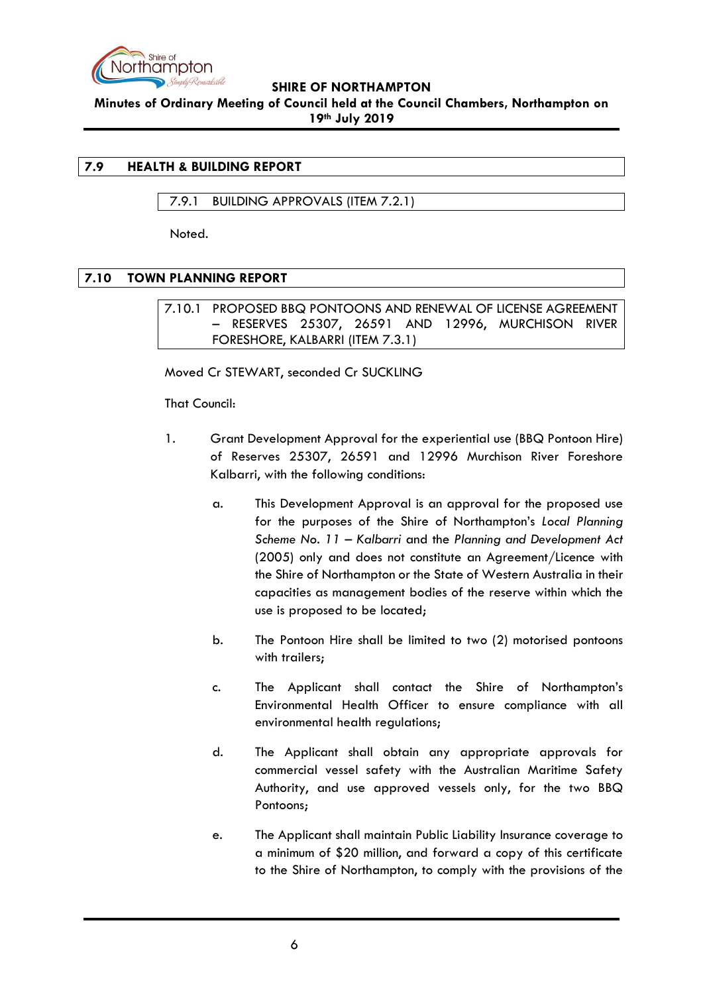

**Minutes of Ordinary Meeting of Council held at the Council Chambers, Northampton on 19th July 2019**

# <span id="page-5-0"></span>**7.9 HEALTH & BUILDING REPORT**

# <span id="page-5-1"></span>7.9.1 BUILDING APPROVALS (ITEM 7.2.1)

Noted.

# <span id="page-5-3"></span><span id="page-5-2"></span>**7.10 TOWN PLANNING REPORT**

7.10.1 PROPOSED BBQ PONTOONS AND RENEWAL OF LICENSE AGREEMENT – RESERVES 25307, 26591 AND 12996, MURCHISON RIVER FORESHORE, KALBARRI (ITEM 7.3.1)

Moved Cr STEWART, seconded Cr SUCKLING

That Council:

- 1. Grant Development Approval for the experiential use (BBQ Pontoon Hire) of Reserves 25307, 26591 and 12996 Murchison River Foreshore Kalbarri, with the following conditions:
	- a. This Development Approval is an approval for the proposed use for the purposes of the Shire of Northampton's *Local Planning Scheme No. 11 – Kalbarri* and the *Planning and Development Act*  (2005) only and does not constitute an Agreement/Licence with the Shire of Northampton or the State of Western Australia in their capacities as management bodies of the reserve within which the use is proposed to be located;
	- b. The Pontoon Hire shall be limited to two (2) motorised pontoons with trailers;
	- c. The Applicant shall contact the Shire of Northampton's Environmental Health Officer to ensure compliance with all environmental health regulations;
	- d. The Applicant shall obtain any appropriate approvals for commercial vessel safety with the Australian Maritime Safety Authority, and use approved vessels only, for the two BBQ Pontoons;
	- e. The Applicant shall maintain Public Liability Insurance coverage to a minimum of \$20 million, and forward a copy of this certificate to the Shire of Northampton, to comply with the provisions of the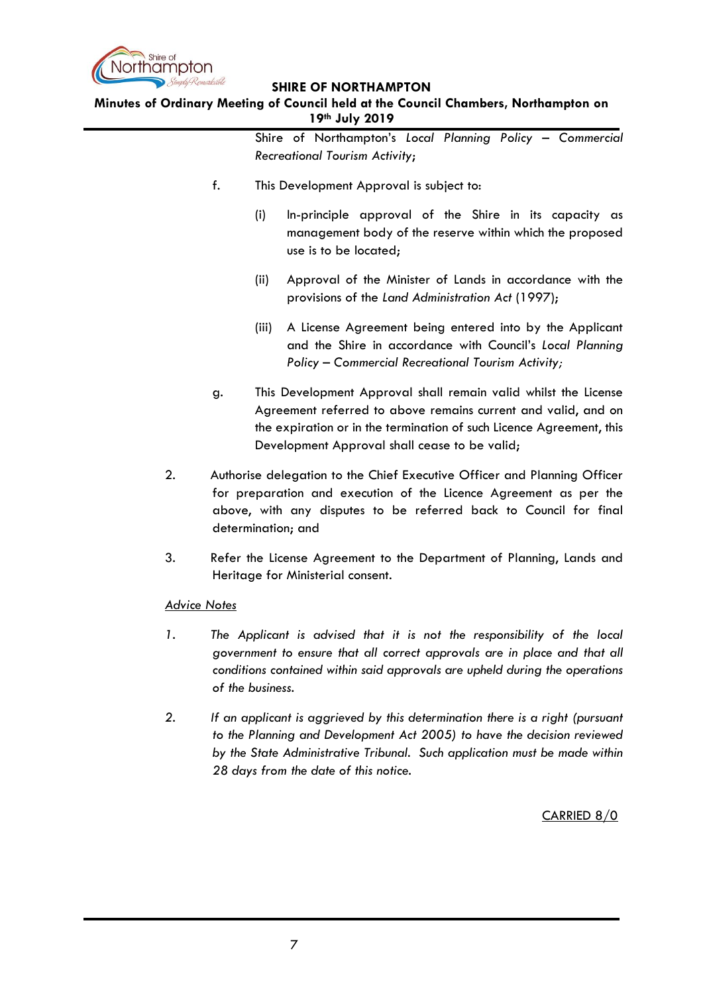

**Minutes of Ordinary Meeting of Council held at the Council Chambers, Northampton on 19th July 2019**

|                     |    | Shire of Northampton's Local Planning Policy - Commercial<br><b>Recreational Tourism Activity;</b>                                                                                                                                                        |
|---------------------|----|-----------------------------------------------------------------------------------------------------------------------------------------------------------------------------------------------------------------------------------------------------------|
|                     | f. | This Development Approval is subject to:                                                                                                                                                                                                                  |
|                     |    | (i)<br>In-principle approval of the Shire in its capacity as<br>management body of the reserve within which the proposed<br>use is to be located;                                                                                                         |
|                     |    | (ii)<br>Approval of the Minister of Lands in accordance with the<br>provisions of the Land Administration Act (1997);                                                                                                                                     |
|                     |    | A License Agreement being entered into by the Applicant<br>(iii)<br>and the Shire in accordance with Council's Local Planning<br>Policy - Commercial Recreational Tourism Activity;                                                                       |
|                     | g. | This Development Approval shall remain valid whilst the License<br>Agreement referred to above remains current and valid, and on<br>the expiration or in the termination of such Licence Agreement, this<br>Development Approval shall cease to be valid; |
| 2.                  |    | Authorise delegation to the Chief Executive Officer and Planning Officer<br>for preparation and execution of the Licence Agreement as per the<br>above, with any disputes to be referred back to Council for final<br>determination; and                  |
| 3.                  |    | Refer the License Agreement to the Department of Planning, Lands and<br>Heritage for Ministerial consent.                                                                                                                                                 |
| <b>Advice Notes</b> |    |                                                                                                                                                                                                                                                           |
| 1.                  |    | The Applicant is advised that it is not the responsibility of the local<br>government to ensure that all correct approvals are in place and that all<br>conditions contained within said approvals are upheld during the operations<br>of the business.   |

2. If an applicant is aggrieved by this determination there is a right (pursuant *to the Planning and Development Act 2005) to have the decision reviewed by the State Administrative Tribunal. Such application must be made within 28 days from the date of this notice.*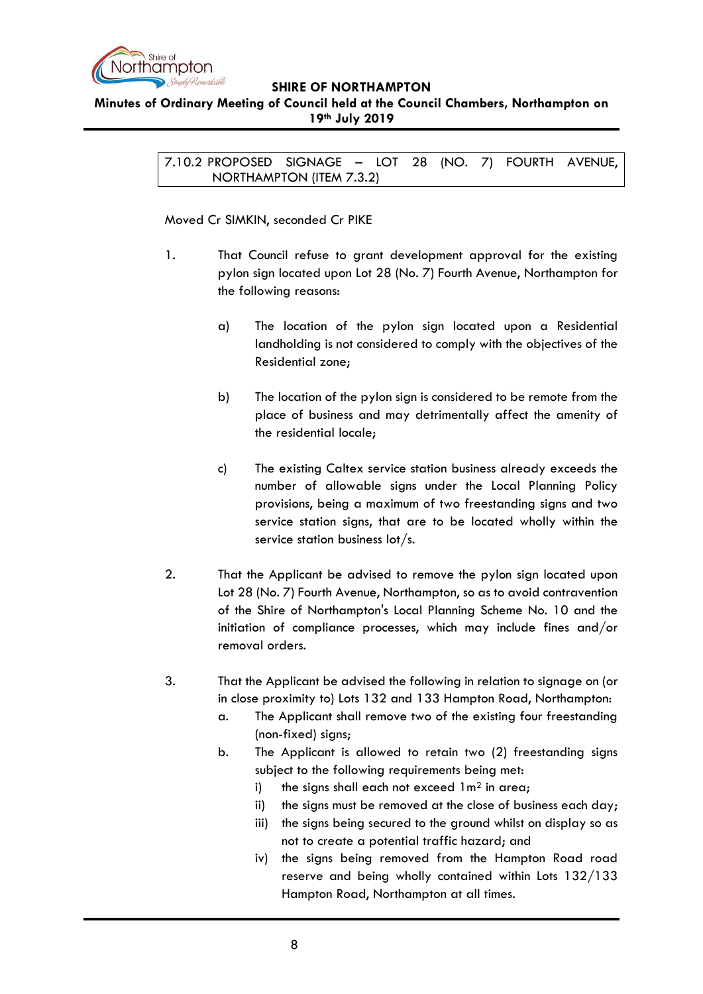

## <span id="page-7-0"></span>**Minutes of Ordinary Meeting of Council held at the Council Chambers, Northampton on 19th July 2019**

7.10.2 PROPOSED SIGNAGE – LOT 28 (NO. 7) FOURTH AVENUE, NORTHAMPTON (ITEM 7.3.2)

## Moved Cr SIMKIN, seconded Cr PIKE

- 1. That Council refuse to grant development approval for the existing pylon sign located upon Lot 28 (No. 7) Fourth Avenue, Northampton for the following reasons:
	- a) The location of the pylon sign located upon a Residential landholding is not considered to comply with the objectives of the Residential zone;
	- b) The location of the pylon sign is considered to be remote from the place of business and may detrimentally affect the amenity of the residential locale;
	- c) The existing Caltex service station business already exceeds the number of allowable signs under the Local Planning Policy provisions, being a maximum of two freestanding signs and two service station signs, that are to be located wholly within the service station business lot/s.
- 2. That the Applicant be advised to remove the pylon sign located upon Lot 28 (No. 7) Fourth Avenue, Northampton, so as to avoid contravention of the Shire of Northampton's Local Planning Scheme No. 10 and the initiation of compliance processes, which may include fines and/or removal orders.
- 3. That the Applicant be advised the following in relation to signage on (or in close proximity to) Lots 132 and 133 Hampton Road, Northampton:
	- a. The Applicant shall remove two of the existing four freestanding (non-fixed) signs;
	- b. The Applicant is allowed to retain two (2) freestanding signs subject to the following requirements being met:
		- i) the signs shall each not exceed  $1m^2$  in area;
		- ii) the signs must be removed at the close of business each day;
		- iii) the signs being secured to the ground whilst on display so as not to create a potential traffic hazard; and
		- iv) the signs being removed from the Hampton Road road reserve and being wholly contained within Lots 132/133 Hampton Road, Northampton at all times.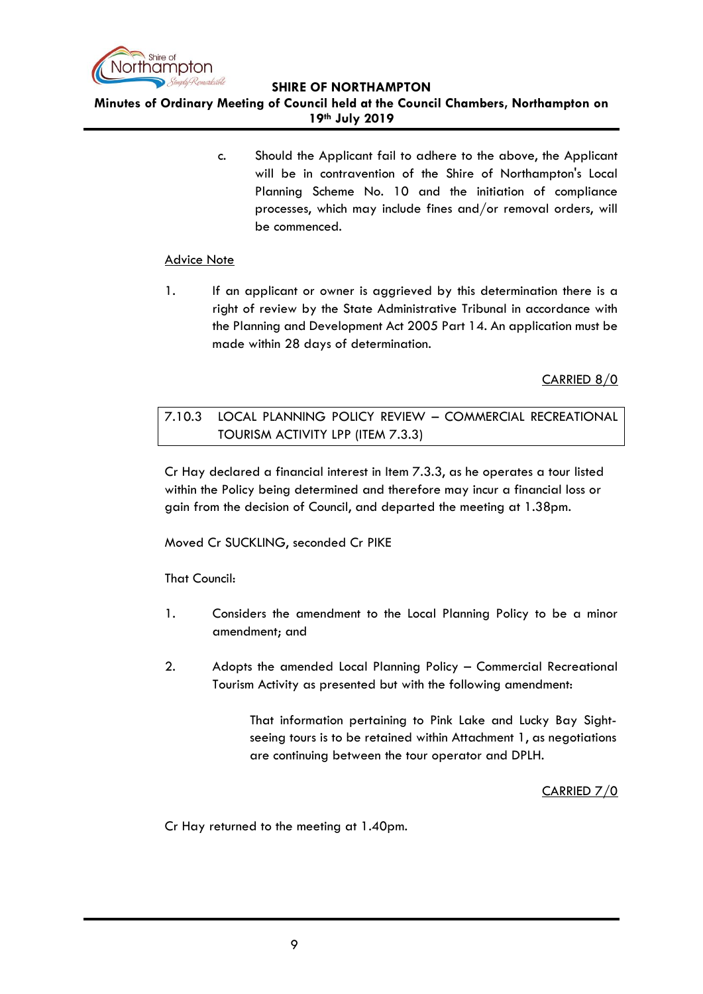

**Minutes of Ordinary Meeting of Council held at the Council Chambers, Northampton on 19th July 2019**

> c. Should the Applicant fail to adhere to the above, the Applicant will be in contravention of the Shire of Northampton's Local Planning Scheme No. 10 and the initiation of compliance processes, which may include fines and/or removal orders, will be commenced.

# Advice Note

1. If an applicant or owner is aggrieved by this determination there is a right of review by the State Administrative Tribunal in accordance with the Planning and Development Act 2005 Part 14. An application must be made within 28 days of determination.

# CARRIED 8/0

# <span id="page-8-0"></span>7.10.3 LOCAL PLANNING POLICY REVIEW – COMMERCIAL RECREATIONAL TOURISM ACTIVITY LPP (ITEM 7.3.3)

Cr Hay declared a financial interest in Item 7.3.3, as he operates a tour listed within the Policy being determined and therefore may incur a financial loss or gain from the decision of Council, and departed the meeting at 1.38pm.

Moved Cr SUCKLING, seconded Cr PIKE

That Council:

- 1. Considers the amendment to the Local Planning Policy to be a minor amendment; and
- 2. Adopts the amended Local Planning Policy Commercial Recreational Tourism Activity as presented but with the following amendment:

That information pertaining to Pink Lake and Lucky Bay Sightseeing tours is to be retained within Attachment 1, as negotiations are continuing between the tour operator and DPLH.

CARRIED 7/0

Cr Hay returned to the meeting at 1.40pm.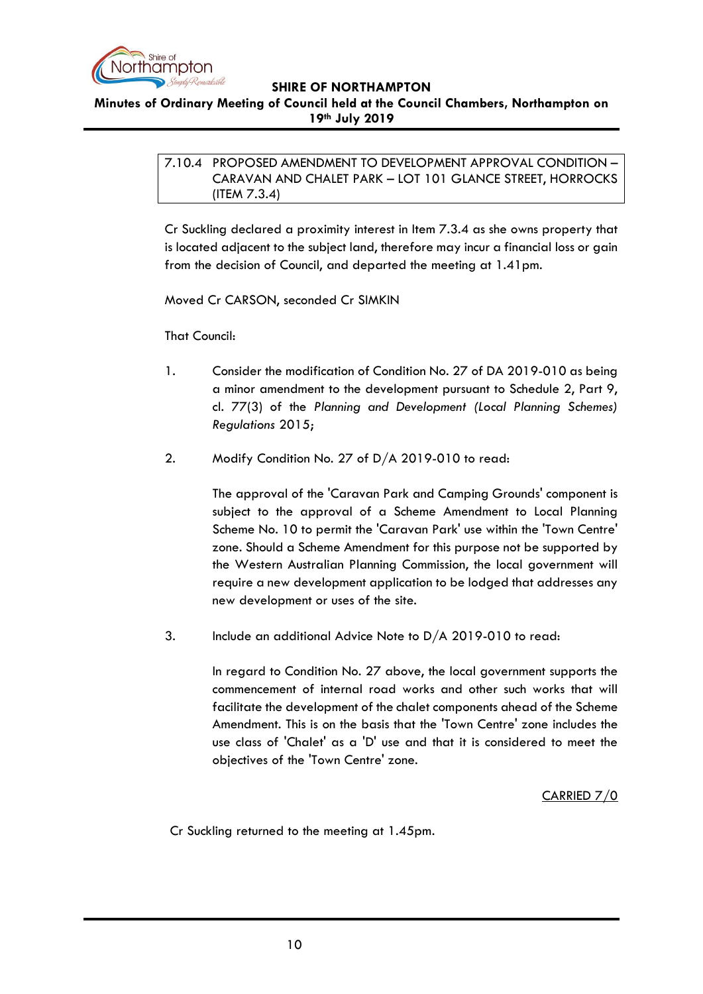

<span id="page-9-0"></span>**Minutes of Ordinary Meeting of Council held at the Council Chambers, Northampton on 19th July 2019**

> 7.10.4 PROPOSED AMENDMENT TO DEVELOPMENT APPROVAL CONDITION – CARAVAN AND CHALET PARK – LOT 101 GLANCE STREET, HORROCKS (ITEM 7.3.4)

> Cr Suckling declared a proximity interest in Item 7.3.4 as she owns property that is located adjacent to the subject land, therefore may incur a financial loss or gain from the decision of Council, and departed the meeting at 1.41pm.

Moved Cr CARSON, seconded Cr SIMKIN

That Council:

- 1. Consider the modification of Condition No. 27 of DA 2019-010 as being a minor amendment to the development pursuant to Schedule 2, Part 9, cl. 77(3) of the *Planning and Development (Local Planning Schemes) Regulations* 2015;
- 2. Modify Condition No. 27 of D/A 2019-010 to read:

The approval of the 'Caravan Park and Camping Grounds' component is subject to the approval of a Scheme Amendment to Local Planning Scheme No. 10 to permit the 'Caravan Park' use within the 'Town Centre' zone. Should a Scheme Amendment for this purpose not be supported by the Western Australian Planning Commission, the local government will require a new development application to be lodged that addresses any new development or uses of the site.

3. Include an additional Advice Note to D/A 2019-010 to read:

In regard to Condition No. 27 above, the local government supports the commencement of internal road works and other such works that will facilitate the development of the chalet components ahead of the Scheme Amendment. This is on the basis that the 'Town Centre' zone includes the use class of 'Chalet' as a 'D' use and that it is considered to meet the objectives of the 'Town Centre' zone.

CARRIED 7/0

Cr Suckling returned to the meeting at 1.45pm.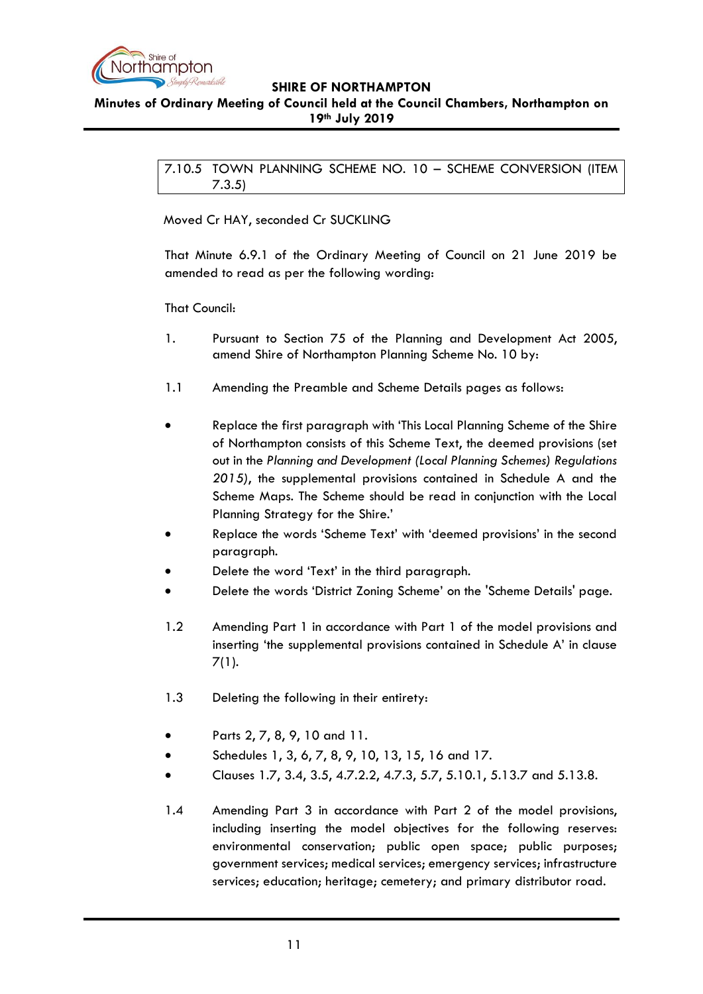

<span id="page-10-0"></span>**Minutes of Ordinary Meeting of Council held at the Council Chambers, Northampton on 19th July 2019**

> 7.10.5 TOWN PLANNING SCHEME NO. 10 – SCHEME CONVERSION (ITEM 7.3.5)

Moved Cr HAY, seconded Cr SUCKLING

That Minute 6.9.1 of the Ordinary Meeting of Council on 21 June 2019 be amended to read as per the following wording:

That Council:

- 1. Pursuant to Section 75 of the Planning and Development Act 2005, amend Shire of Northampton Planning Scheme No. 10 by:
- 1.1 Amending the Preamble and Scheme Details pages as follows:
- Replace the first paragraph with 'This Local Planning Scheme of the Shire of Northampton consists of this Scheme Text, the deemed provisions (set out in the *Planning and Development (Local Planning Schemes) Regulations 2015)*, the supplemental provisions contained in Schedule A and the Scheme Maps. The Scheme should be read in conjunction with the Local Planning Strategy for the Shire.'
- Replace the words 'Scheme Text' with 'deemed provisions' in the second paragraph.
- Delete the word 'Text' in the third paragraph.
- Delete the words 'District Zoning Scheme' on the 'Scheme Details' page.
- 1.2 Amending Part 1 in accordance with Part 1 of the model provisions and inserting 'the supplemental provisions contained in Schedule A' in clause 7(1).
- 1.3 Deleting the following in their entirety:
- Parts 2, 7, 8, 9, 10 and 11.
- Schedules 1, 3, 6, 7, 8, 9, 10, 13, 15, 16 and 17.
- Clauses 1.7, 3.4, 3.5, 4.7.2.2, 4.7.3, 5.7, 5.10.1, 5.13.7 and 5.13.8.
- 1.4 Amending Part 3 in accordance with Part 2 of the model provisions, including inserting the model objectives for the following reserves: environmental conservation; public open space; public purposes; government services; medical services; emergency services; infrastructure services; education; heritage; cemetery; and primary distributor road.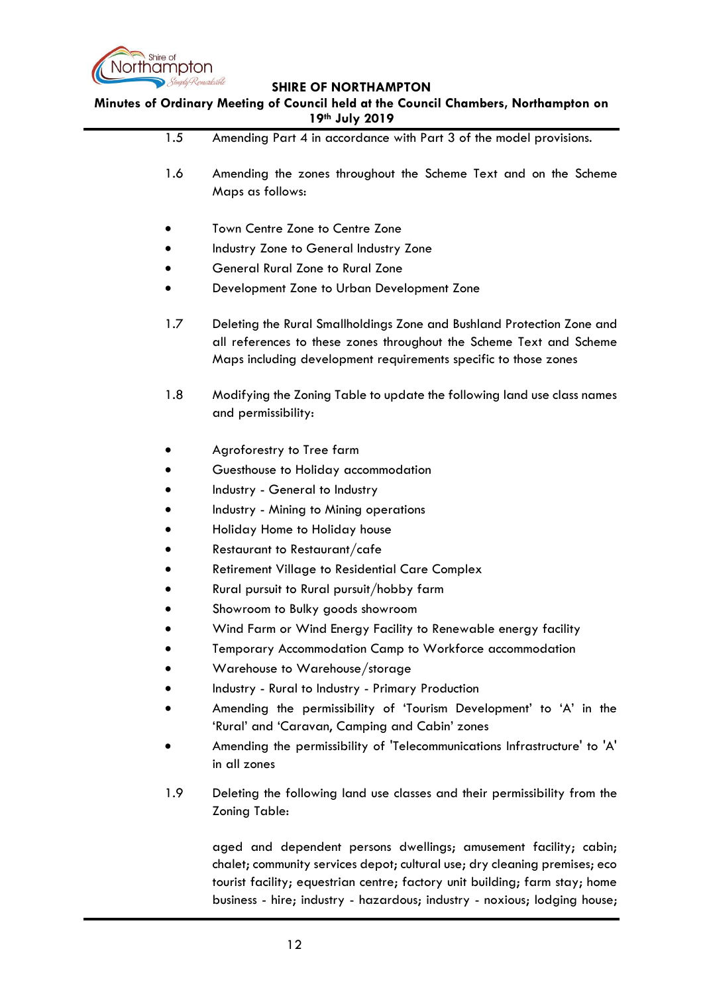

**Minutes of Ordinary Meeting of Council held at the Council Chambers, Northampton on 19th July 2019**

1.5 Amending Part 4 in accordance with Part 3 of the model provisions. 1.6 Amending the zones throughout the Scheme Text and on the Scheme Maps as follows: Town Centre Zone to Centre Zone Industry Zone to General Industry Zone General Rural Zone to Rural Zone Development Zone to Urban Development Zone 1.7 Deleting the Rural Smallholdings Zone and Bushland Protection Zone and all references to these zones throughout the Scheme Text and Scheme Maps including development requirements specific to those zones 1.8 Modifying the Zoning Table to update the following land use class names and permissibility: Agroforestry to Tree farm Guesthouse to Holiday accommodation Industry - General to Industry Industry - Mining to Mining operations Holiday Home to Holiday house Restaurant to Restaurant/cafe Retirement Village to Residential Care Complex Rural pursuit to Rural pursuit/hobby farm Showroom to Bulky goods showroom Wind Farm or Wind Energy Facility to Renewable energy facility Temporary Accommodation Camp to Workforce accommodation Warehouse to Warehouse/storage Industry - Rural to Industry - Primary Production Amending the permissibility of 'Tourism Development' to 'A' in the 'Rural' and 'Caravan, Camping and Cabin' zones Amending the permissibility of 'Telecommunications Infrastructure' to 'A' in all zones 1.9 Deleting the following land use classes and their permissibility from the Zoning Table: aged and dependent persons dwellings; amusement facility; cabin; chalet; community services depot; cultural use; dry cleaning premises; eco tourist facility; equestrian centre; factory unit building; farm stay; home

business - hire; industry - hazardous; industry - noxious; lodging house;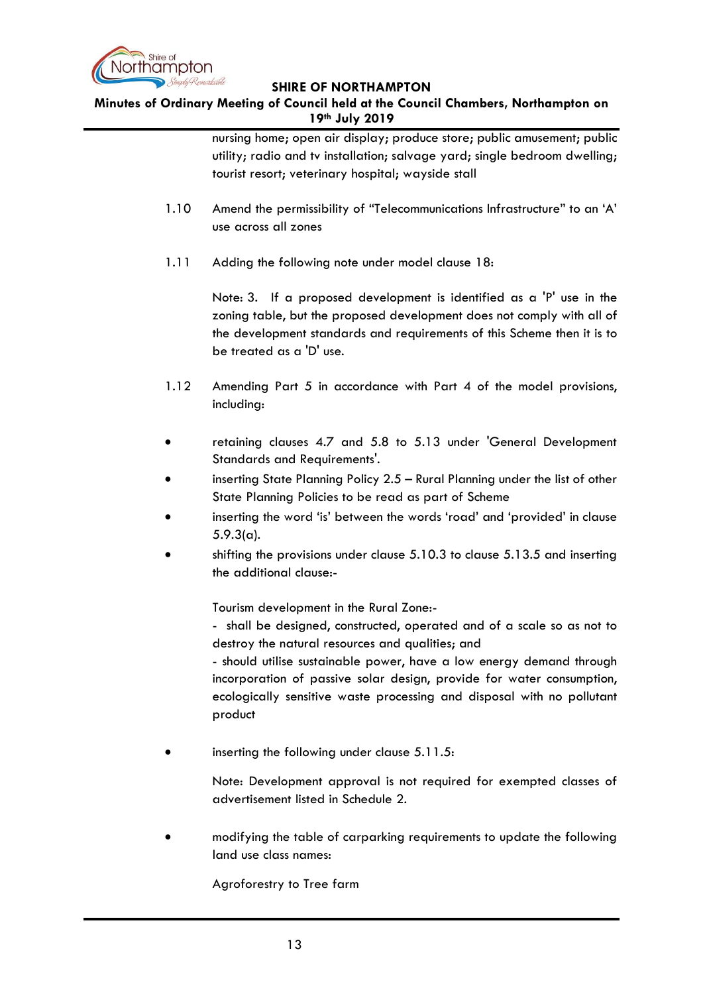

**Minutes of Ordinary Meeting of Council held at the Council Chambers, Northampton on 19th July 2019**

> nursing home; open air display; produce store; public amusement; public utility; radio and tv installation; salvage yard; single bedroom dwelling; tourist resort; veterinary hospital; wayside stall

- 1.10 Amend the permissibility of "Telecommunications Infrastructure" to an 'A' use across all zones
- 1.11 Adding the following note under model clause 18:

Note: 3. If a proposed development is identified as a 'P' use in the zoning table, but the proposed development does not comply with all of the development standards and requirements of this Scheme then it is to be treated as a 'D' use.

- 1.12 Amending Part 5 in accordance with Part 4 of the model provisions, including:
- retaining clauses 4.7 and 5.8 to 5.13 under 'General Development Standards and Requirements'.
- inserting State Planning Policy 2.5 Rural Planning under the list of other State Planning Policies to be read as part of Scheme
- inserting the word 'is' between the words 'road' and 'provided' in clause 5.9.3(a).
- shifting the provisions under clause 5.10.3 to clause 5.13.5 and inserting the additional clause:-

Tourism development in the Rural Zone:-

- shall be designed, constructed, operated and of a scale so as not to destroy the natural resources and qualities; and

- should utilise sustainable power, have a low energy demand through incorporation of passive solar design, provide for water consumption, ecologically sensitive waste processing and disposal with no pollutant product

inserting the following under clause 5.11.5:

Note: Development approval is not required for exempted classes of advertisement listed in Schedule 2.

 modifying the table of carparking requirements to update the following land use class names:

Agroforestry to Tree farm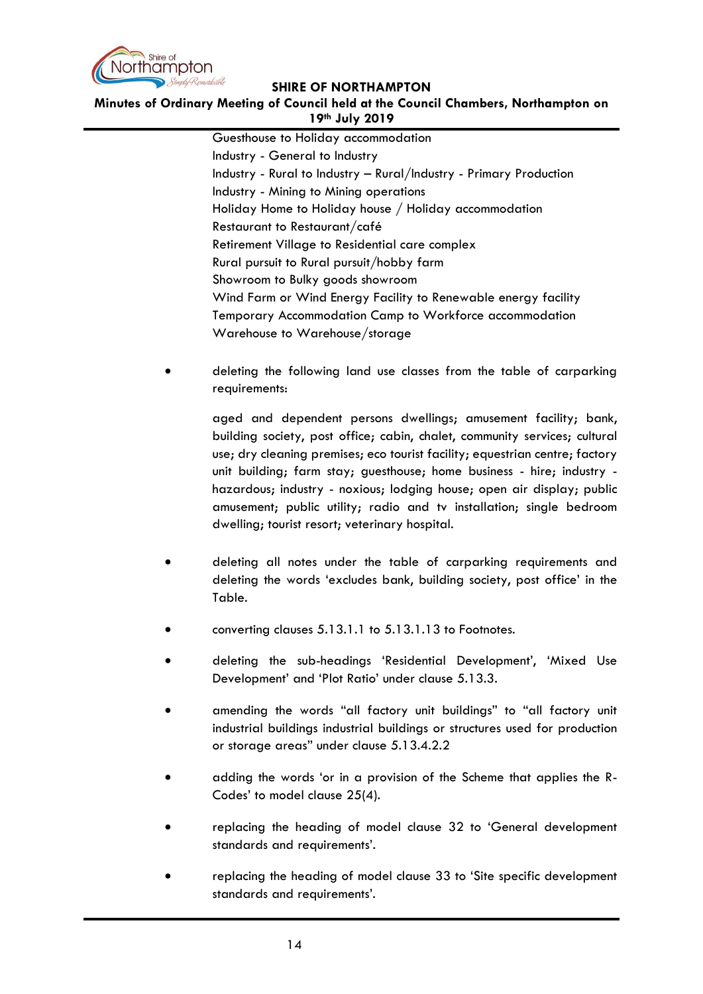

## **Minutes of Ordinary Meeting of Council held at the Council Chambers, Northampton on 19th July 2019**

Guesthouse to Holiday accommodation Industry - General to Industry Industry - Rural to Industry – Rural/Industry - Primary Production Industry - Mining to Mining operations Holiday Home to Holiday house / Holiday accommodation Restaurant to Restaurant/café Retirement Village to Residential care complex Rural pursuit to Rural pursuit/hobby farm Showroom to Bulky goods showroom Wind Farm or Wind Energy Facility to Renewable energy facility Temporary Accommodation Camp to Workforce accommodation Warehouse to Warehouse/storage

 deleting the following land use classes from the table of carparking requirements:

> aged and dependent persons dwellings; amusement facility; bank, building society, post office; cabin, chalet, community services; cultural use; dry cleaning premises; eco tourist facility; equestrian centre; factory unit building; farm stay; guesthouse; home business - hire; industry hazardous; industry - noxious; lodging house; open air display; public amusement; public utility; radio and tv installation; single bedroom dwelling; tourist resort; veterinary hospital.

- deleting all notes under the table of carparking requirements and deleting the words 'excludes bank, building society, post office' in the Table.
- converting clauses 5.13.1.1 to 5.13.1.13 to Footnotes.
- deleting the sub-headings 'Residential Development', 'Mixed Use Development' and 'Plot Ratio' under clause 5.13.3.
- amending the words "all factory unit buildings" to "all factory unit industrial buildings industrial buildings or structures used for production or storage areas" under clause 5.13.4.2.2
- adding the words 'or in a provision of the Scheme that applies the R-Codes' to model clause 25(4).
- replacing the heading of model clause 32 to 'General development standards and requirements'.
- replacing the heading of model clause 33 to 'Site specific development standards and requirements'.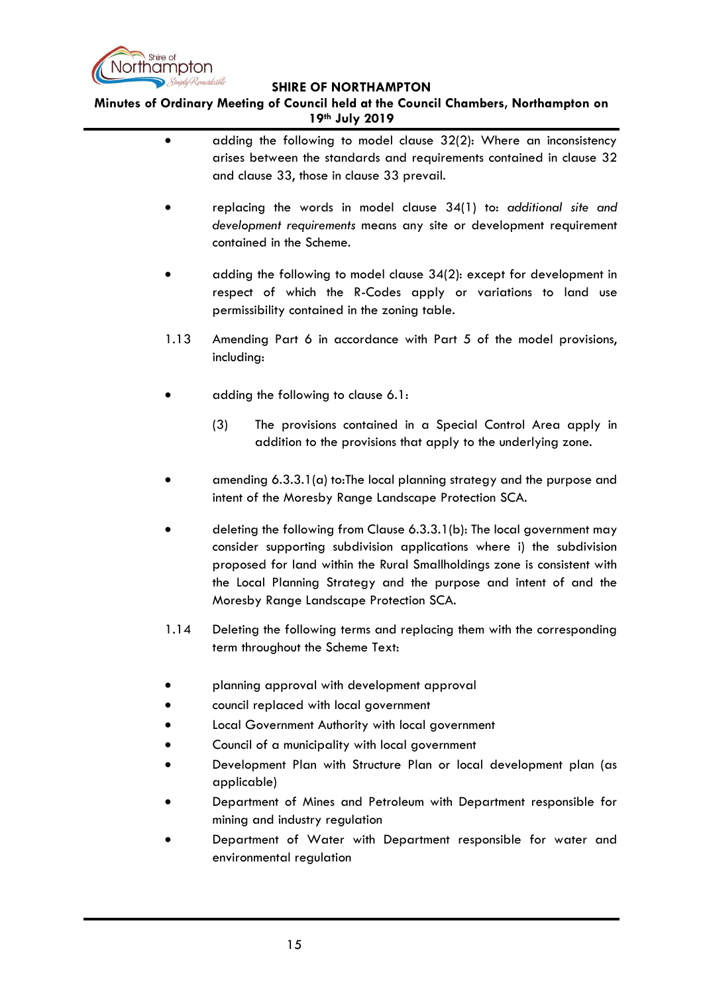

**Minutes of Ordinary Meeting of Council held at the Council Chambers, Northampton on 19th July 2019**

- adding the following to model clause 32(2): Where an inconsistency arises between the standards and requirements contained in clause 32 and clause 33, those in clause 33 prevail.
- replacing the words in model clause 34(1) to: *additional site and development requirements* means any site or development requirement contained in the Scheme.
- adding the following to model clause 34(2): except for development in respect of which the R-Codes apply or variations to land use permissibility contained in the zoning table.
- 1.13 Amending Part 6 in accordance with Part 5 of the model provisions, including:
- adding the following to clause 6.1:
	- (3) The provisions contained in a Special Control Area apply in addition to the provisions that apply to the underlying zone.
- amending 6.3.3.1(a) to:The local planning strategy and the purpose and intent of the Moresby Range Landscape Protection SCA.
- deleting the following from Clause 6.3.3.1(b): The local government may consider supporting subdivision applications where i) the subdivision proposed for land within the Rural Smallholdings zone is consistent with the Local Planning Strategy and the purpose and intent of and the Moresby Range Landscape Protection SCA.
- 1.14 Deleting the following terms and replacing them with the corresponding term throughout the Scheme Text:
- planning approval with development approval
- council replaced with local government
- Local Government Authority with local government
- Council of a municipality with local government
- Development Plan with Structure Plan or local development plan (as applicable)
- Department of Mines and Petroleum with Department responsible for mining and industry regulation
- Department of Water with Department responsible for water and environmental regulation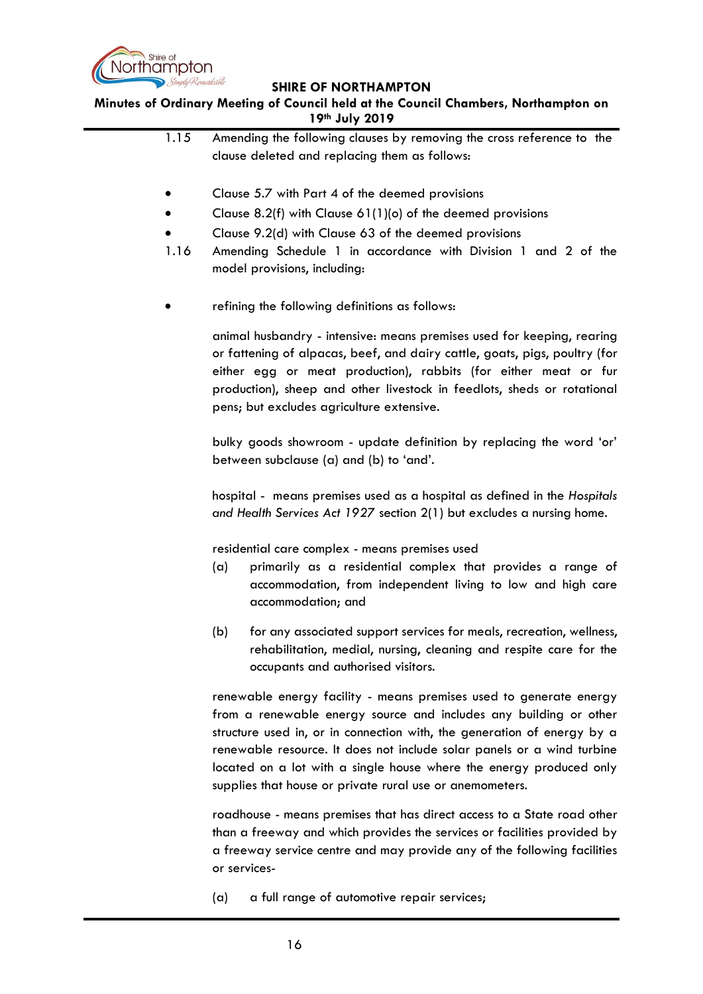

**Minutes of Ordinary Meeting of Council held at the Council Chambers, Northampton on 19th July 2019**

> 1.15 Amending the following clauses by removing the cross reference to the clause deleted and replacing them as follows: Clause 5.7 with Part 4 of the deemed provisions Clause 8.2(f) with Clause 61(1)(o) of the deemed provisions Clause 9.2(d) with Clause 63 of the deemed provisions 1.16 Amending Schedule 1 in accordance with Division 1 and 2 of the model provisions, including: refining the following definitions as follows: animal husbandry - intensive: means premises used for keeping, rearing or fattening of alpacas, beef, and dairy cattle, goats, pigs, poultry (for either egg or meat production), rabbits (for either meat or fur production), sheep and other livestock in feedlots, sheds or rotational pens; but excludes agriculture extensive. bulky goods showroom - update definition by replacing the word 'or' between subclause (a) and (b) to 'and'. hospital - means premises used as a hospital as defined in the *Hospitals and Health Services Act 1927* section 2(1) but excludes a nursing home. residential care complex - means premises used (a) primarily as a residential complex that provides a range of accommodation, from independent living to low and high care accommodation; and (b) for any associated support services for meals, recreation, wellness, rehabilitation, medial, nursing, cleaning and respite care for the occupants and authorised visitors. renewable energy facility - means premises used to generate energy

from a renewable energy source and includes any building or other structure used in, or in connection with, the generation of energy by a renewable resource. It does not include solar panels or a wind turbine located on a lot with a single house where the energy produced only supplies that house or private rural use or anemometers.

roadhouse - means premises that has direct access to a State road other than a freeway and which provides the services or facilities provided by a freeway service centre and may provide any of the following facilities or services-

(a) a full range of automotive repair services;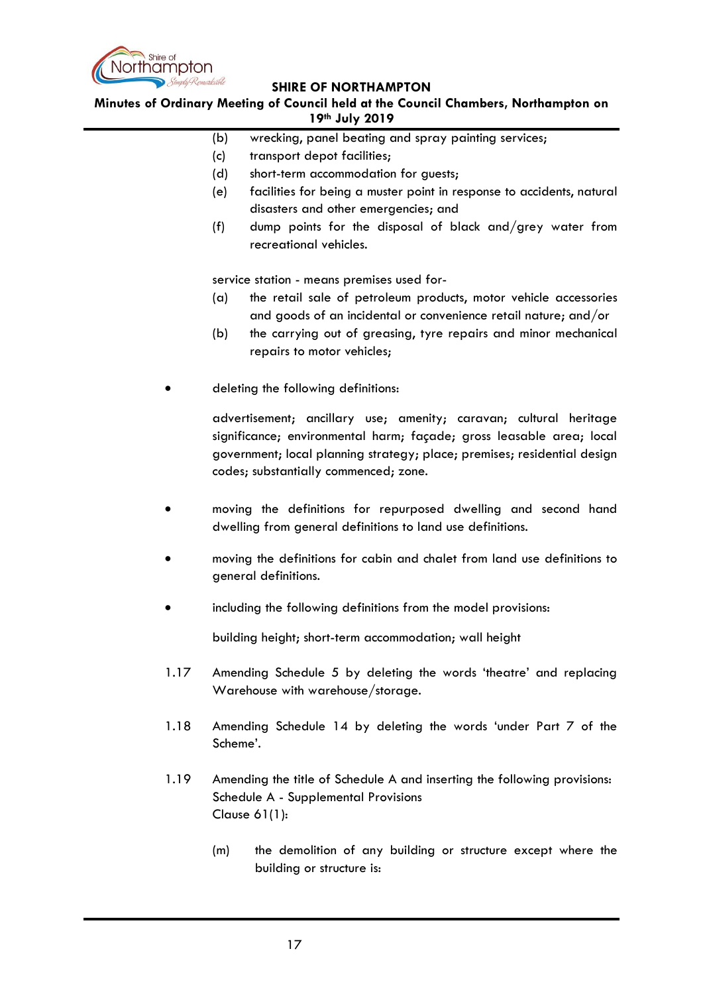

**Minutes of Ordinary Meeting of Council held at the Council Chambers, Northampton on 19th July 2019**

- (b) wrecking, panel beating and spray painting services;
- (c) transport depot facilities;
- (d) short-term accommodation for guests;
- (e) facilities for being a muster point in response to accidents, natural disasters and other emergencies; and
- (f) dump points for the disposal of black and/grey water from recreational vehicles.

service station - means premises used for-

- (a) the retail sale of petroleum products, motor vehicle accessories and goods of an incidental or convenience retail nature; and/or
- (b) the carrying out of greasing, tyre repairs and minor mechanical repairs to motor vehicles;
- deleting the following definitions:

advertisement; ancillary use; amenity; caravan; cultural heritage significance; environmental harm; façade; gross leasable area; local government; local planning strategy; place; premises; residential design codes; substantially commenced; zone.

- moving the definitions for repurposed dwelling and second hand dwelling from general definitions to land use definitions.
- moving the definitions for cabin and chalet from land use definitions to general definitions.
- including the following definitions from the model provisions:

building height; short-term accommodation; wall height

- 1.17 Amending Schedule 5 by deleting the words 'theatre' and replacing Warehouse with warehouse/storage.
- 1.18 Amending Schedule 14 by deleting the words 'under Part 7 of the Scheme'.
- 1.19 Amending the title of Schedule A and inserting the following provisions: Schedule A - Supplemental Provisions Clause 61(1):
	- (m) the demolition of any building or structure except where the building or structure is: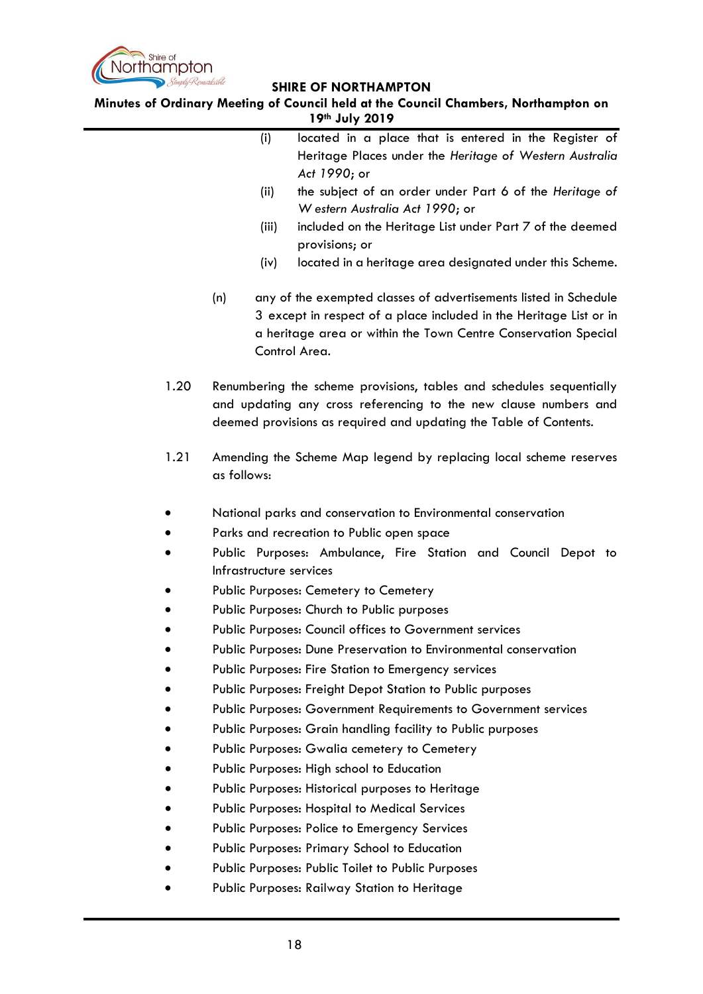

**Minutes of Ordinary Meeting of Council held at the Council Chambers, Northampton on 19th July 2019**

|      | located in a place that is entered in the Register of<br>(i)                                       |
|------|----------------------------------------------------------------------------------------------------|
|      | Heritage Places under the Heritage of Western Australia                                            |
|      | Act 1990; or                                                                                       |
|      | (ii)<br>the subject of an order under Part 6 of the Heritage of<br>W estern Australia Act 1990; or |
|      | included on the Heritage List under Part 7 of the deemed<br>(iii)                                  |
|      | provisions; or                                                                                     |
|      | located in a heritage area designated under this Scheme.<br>(iv)                                   |
|      | (n)<br>any of the exempted classes of advertisements listed in Schedule                            |
|      | 3 except in respect of a place included in the Heritage List or in                                 |
|      | a heritage area or within the Town Centre Conservation Special                                     |
|      | Control Area.                                                                                      |
| 1.20 | Renumbering the scheme provisions, tables and schedules sequentially                               |
|      | and updating any cross referencing to the new clause numbers and                                   |
|      | deemed provisions as required and updating the Table of Contents.                                  |
| 1.21 | Amending the Scheme Map legend by replacing local scheme reserves                                  |
|      | as follows:                                                                                        |
|      |                                                                                                    |
|      | National parks and conservation to Environmental conservation                                      |
|      | Parks and recreation to Public open space                                                          |
|      | Public Purposes: Ambulance, Fire Station and Council Depot to<br>Infrastructure services           |
|      | Public Purposes: Cemetery to Cemetery                                                              |
|      | Public Purposes: Church to Public purposes                                                         |
|      | Public Purposes: Council offices to Government services                                            |
|      | Public Purposes: Dune Preservation to Environmental conservation                                   |
|      | Public Purposes: Fire Station to Emergency services                                                |
|      | Public Purposes: Freight Depot Station to Public purposes                                          |
|      | Public Purposes: Government Requirements to Government services                                    |
|      | Public Purposes: Grain handling facility to Public purposes                                        |
|      | Public Purposes: Gwalia cemetery to Cemetery                                                       |
|      | Public Purposes: High school to Education                                                          |
|      | Public Purposes: Historical purposes to Heritage                                                   |
|      | <b>Public Purposes: Hospital to Medical Services</b>                                               |
|      | Public Purposes: Police to Emergency Services                                                      |
|      | <b>Public Purposes: Primary School to Education</b>                                                |
|      | Public Purposes: Public Toilet to Public Purposes                                                  |
|      | Public Purposes: Railway Station to Heritage                                                       |
|      |                                                                                                    |
|      |                                                                                                    |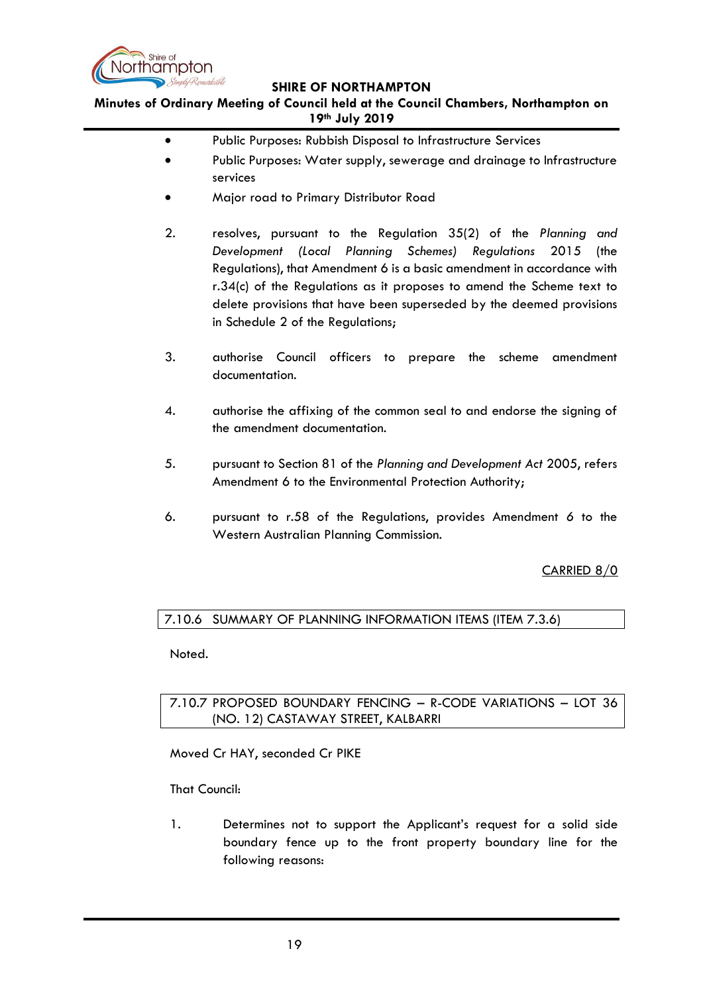

**Minutes of Ordinary Meeting of Council held at the Council Chambers, Northampton on 19th July 2019**

- Public Purposes: Rubbish Disposal to Infrastructure Services
- Public Purposes: Water supply, sewerage and drainage to Infrastructure services
- Major road to Primary Distributor Road
- 2. resolves, pursuant to the Regulation 35(2) of the *Planning and Development (Local Planning Schemes) Regulations* 2015 (the Regulations), that Amendment 6 is a basic amendment in accordance with r.34(c) of the Regulations as it proposes to amend the Scheme text to delete provisions that have been superseded by the deemed provisions in Schedule 2 of the Regulations;
- 3. authorise Council officers to prepare the scheme amendment documentation.
- 4. authorise the affixing of the common seal to and endorse the signing of the amendment documentation.
- 5. pursuant to Section 81 of the *Planning and Development Act* 2005, refers Amendment 6 to the Environmental Protection Authority;
- 6. pursuant to r.58 of the Regulations, provides Amendment *6* to the Western Australian Planning Commission.

CARRIED 8/0

# <span id="page-18-0"></span>7.10.6 SUMMARY OF PLANNING INFORMATION ITEMS (ITEM 7.3.6)

Noted.

<span id="page-18-1"></span>7.10.7 PROPOSED BOUNDARY FENCING – R-CODE VARIATIONS – LOT 36 (NO. 12) CASTAWAY STREET, KALBARRI

Moved Cr HAY, seconded Cr PIKE

That Council:

1. Determines not to support the Applicant's request for a solid side boundary fence up to the front property boundary line for the following reasons: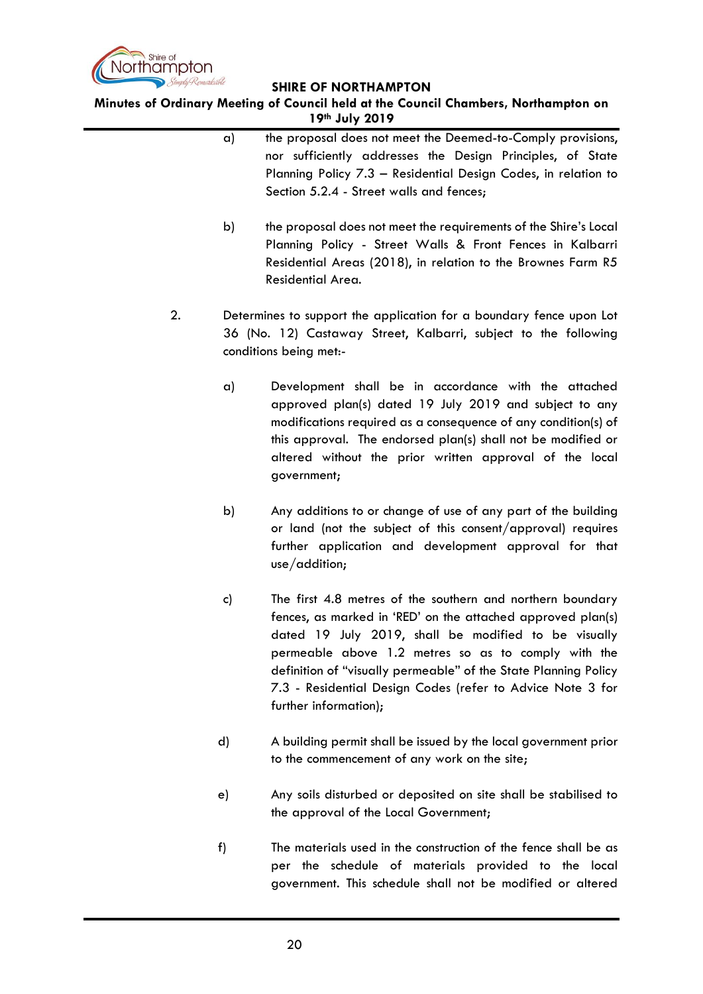

**Minutes of Ordinary Meeting of Council held at the Council Chambers, Northampton on 19th July 2019**

- a) the proposal does not meet the Deemed-to-Comply provisions, nor sufficiently addresses the Design Principles, of State Planning Policy 7.3 – Residential Design Codes, in relation to Section 5.2.4 - Street walls and fences; b) the proposal does not meet the requirements of the Shire's Local Planning Policy - Street Walls & Front Fences in Kalbarri Residential Areas (2018), in relation to the Brownes Farm R5 Residential Area. 2. Determines to support the application for a boundary fence upon Lot 36 (No. 12) Castaway Street, Kalbarri, subject to the following conditions being met: a) Development shall be in accordance with the attached approved plan(s) dated 19 July 2019 and subject to any modifications required as a consequence of any condition(s) of this approval. The endorsed plan(s) shall not be modified or altered without the prior written approval of the local government; b) Any additions to or change of use of any part of the building or land (not the subject of this consent/approval) requires further application and development approval for that use/addition; c) The first 4.8 metres of the southern and northern boundary fences, as marked in 'RED' on the attached approved plan(s) dated 19 July 2019, shall be modified to be visually permeable above 1.2 metres so as to comply with the definition of "visually permeable" of the State Planning Policy 7.3 - Residential Design Codes (refer to Advice Note 3 for further information); d) A building permit shall be issued by the local government prior
	- e) Any soils disturbed or deposited on site shall be stabilised to the approval of the Local Government;

to the commencement of any work on the site;

f) The materials used in the construction of the fence shall be as per the schedule of materials provided to the local government. This schedule shall not be modified or altered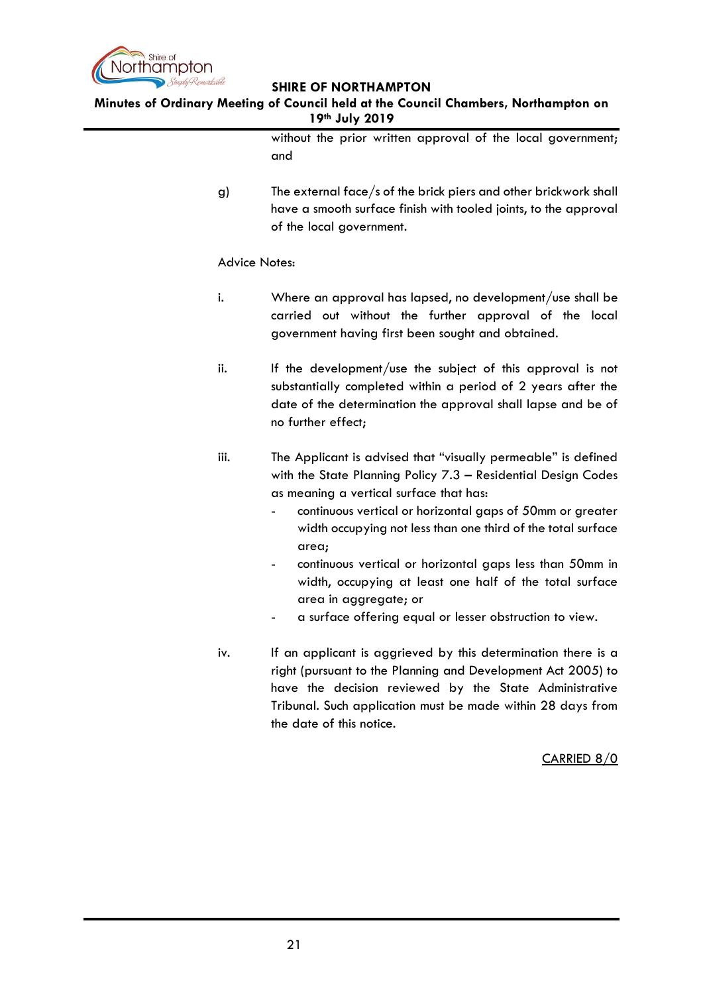

**Minutes of Ordinary Meeting of Council held at the Council Chambers, Northampton on 19th July 2019**

> without the prior written approval of the local government; and

g) The external face/s of the brick piers and other brickwork shall have a smooth surface finish with tooled joints, to the approval of the local government.

# Advice Notes:

- i. Where an approval has lapsed, no development/use shall be carried out without the further approval of the local government having first been sought and obtained.
- ii. If the development/use the subject of this approval is not substantially completed within a period of 2 years after the date of the determination the approval shall lapse and be of no further effect;
- iii. The Applicant is advised that "visually permeable" is defined with the State Planning Policy 7.3 – Residential Design Codes as meaning a vertical surface that has:
	- continuous vertical or horizontal gaps of 50mm or greater width occupying not less than one third of the total surface area;
	- continuous vertical or horizontal gaps less than 50mm in width, occupying at least one half of the total surface area in aggregate; or
	- a surface offering equal or lesser obstruction to view.
- iv. If an applicant is aggrieved by this determination there is a right (pursuant to the Planning and Development Act 2005) to have the decision reviewed by the State Administrative Tribunal. Such application must be made within 28 days from the date of this notice.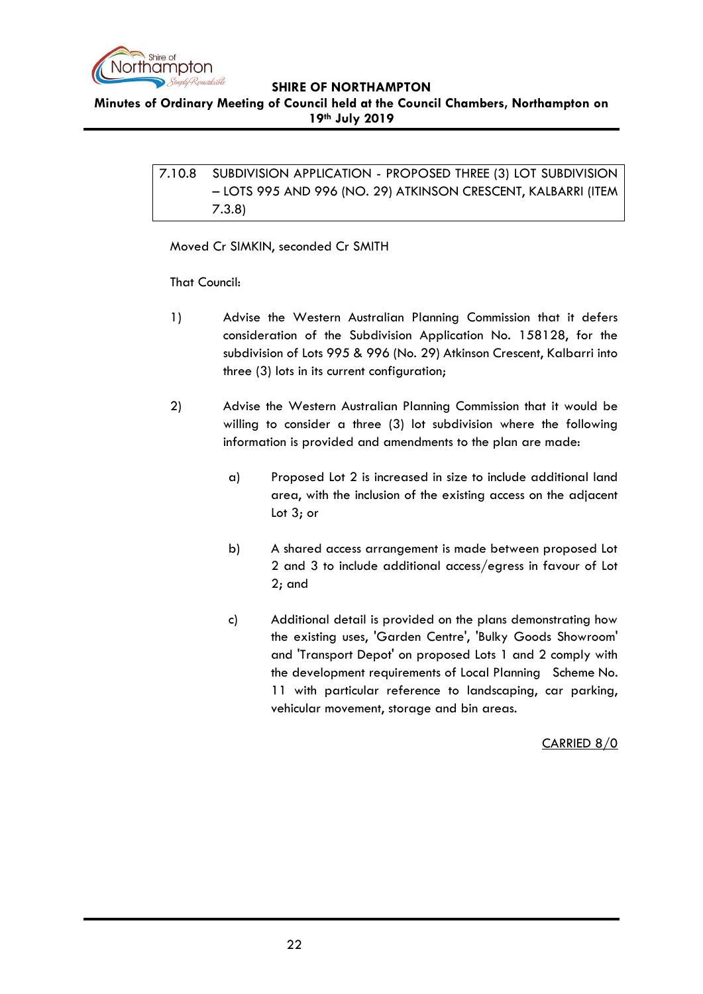

<span id="page-21-0"></span>**Minutes of Ordinary Meeting of Council held at the Council Chambers, Northampton on 19th July 2019**

> 7.10.8 SUBDIVISION APPLICATION - PROPOSED THREE (3) LOT SUBDIVISION – LOTS 995 AND 996 (NO. 29) ATKINSON CRESCENT, KALBARRI (ITEM 7.3.8)

Moved Cr SIMKIN, seconded Cr SMITH

That Council:

- 1) Advise the Western Australian Planning Commission that it defers consideration of the Subdivision Application No. 158128, for the subdivision of Lots 995 & 996 (No. 29) Atkinson Crescent, Kalbarri into three (3) lots in its current configuration;
- 2) Advise the Western Australian Planning Commission that it would be willing to consider a three (3) lot subdivision where the following information is provided and amendments to the plan are made:
	- a) Proposed Lot 2 is increased in size to include additional land area, with the inclusion of the existing access on the adjacent Lot 3; or
	- b) A shared access arrangement is made between proposed Lot 2 and 3 to include additional access/egress in favour of Lot 2; and
	- c) Additional detail is provided on the plans demonstrating how the existing uses, 'Garden Centre', 'Bulky Goods Showroom' and 'Transport Depot' on proposed Lots 1 and 2 comply with the development requirements of Local Planning Scheme No. 11 with particular reference to landscaping, car parking, vehicular movement, storage and bin areas.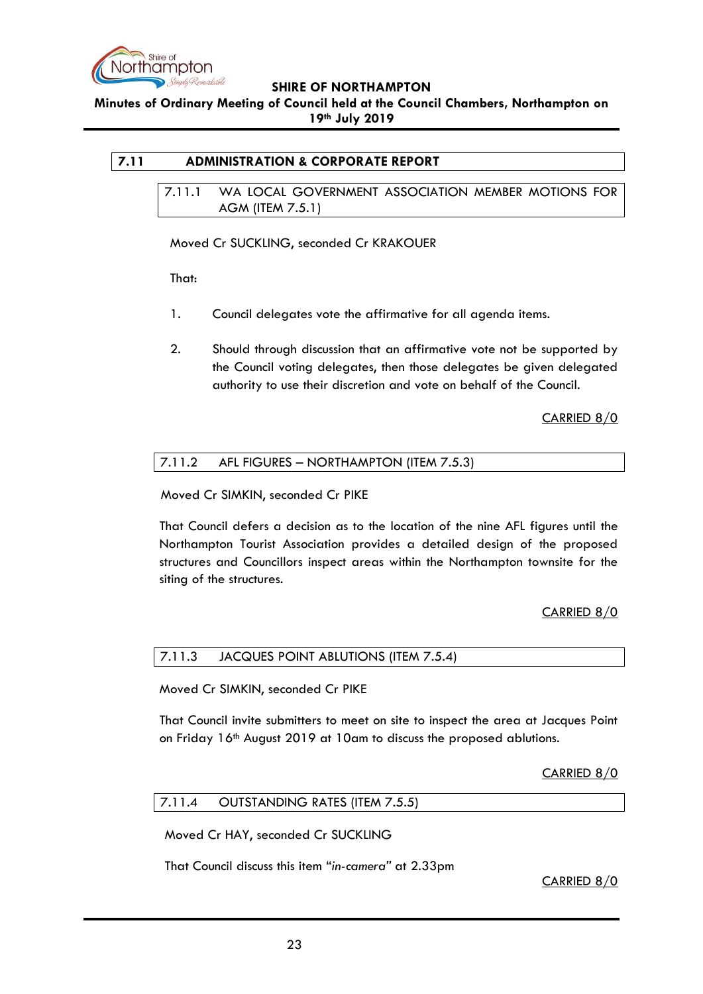

**Minutes of Ordinary Meeting of Council held at the Council Chambers, Northampton on 19th July 2019**

# <span id="page-22-1"></span><span id="page-22-0"></span>**7.11 ADMINISTRATION & CORPORATE REPORT**

7.11.1 WA LOCAL GOVERNMENT ASSOCIATION MEMBER MOTIONS FOR AGM (ITEM 7.5.1)

Moved Cr SUCKLING, seconded Cr KRAKOUER

That:

- 1. Council delegates vote the affirmative for all agenda items.
- 2. Should through discussion that an affirmative vote not be supported by the Council voting delegates, then those delegates be given delegated authority to use their discretion and vote on behalf of the Council.

CARRIED 8/0

## <span id="page-22-2"></span>7.11.2 AFL FIGURES – NORTHAMPTON (ITEM 7.5.3)

Moved Cr SIMKIN, seconded Cr PIKE

That Council defers a decision as to the location of the nine AFL figures until the Northampton Tourist Association provides a detailed design of the proposed structures and Councillors inspect areas within the Northampton townsite for the siting of the structures.

# CARRIED 8/0

#### <span id="page-22-3"></span>7.11.3 JACQUES POINT ABLUTIONS (ITEM 7.5.4)

Moved Cr SIMKIN, seconded Cr PIKE

That Council invite submitters to meet on site to inspect the area at Jacques Point on Friday 16th August 2019 at 10am to discuss the proposed ablutions.

# CARRIED 8/0

#### <span id="page-22-4"></span>7.11.4 OUTSTANDING RATES (ITEM 7.5.5)

Moved Cr HAY, seconded Cr SUCKLING

That Council discuss this item "*in-camera"* at 2.33pm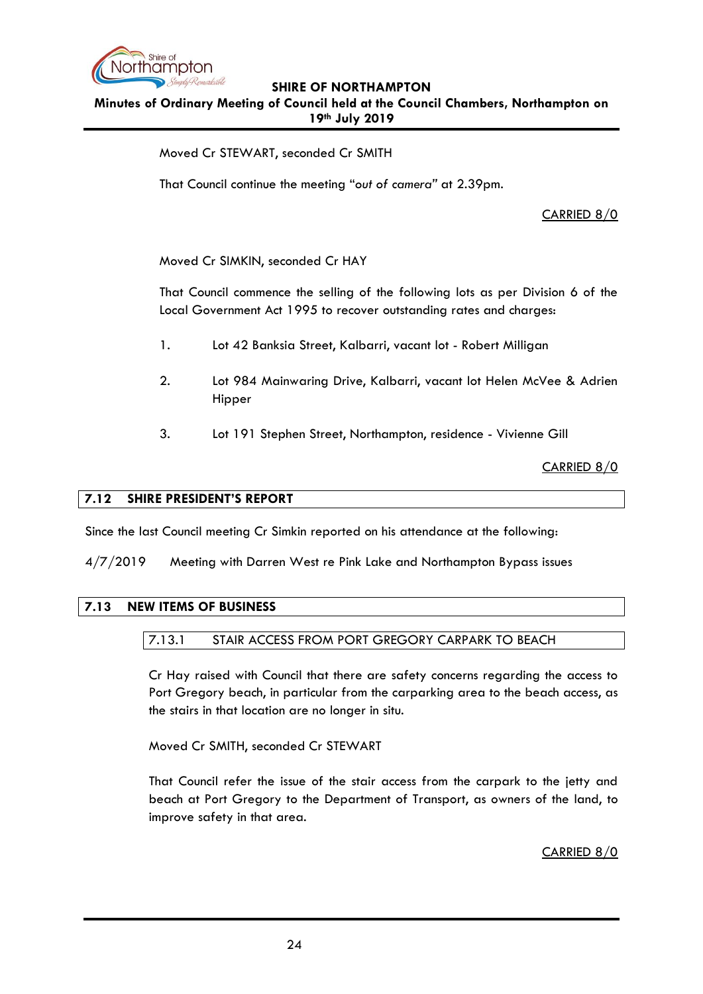

**Minutes of Ordinary Meeting of Council held at the Council Chambers, Northampton on 19th July 2019**

Moved Cr STEWART, seconded Cr SMITH

That Council continue the meeting "*out of camera"* at 2.39pm.

# CARRIED 8/0

Moved Cr SIMKIN, seconded Cr HAY

That Council commence the selling of the following lots as per Division 6 of the Local Government Act 1995 to recover outstanding rates and charges:

- 1. Lot 42 Banksia Street, Kalbarri, vacant lot Robert Milligan
- 2. Lot 984 Mainwaring Drive, Kalbarri, vacant lot Helen McVee & Adrien Hipper
- 3. Lot 191 Stephen Street, Northampton, residence Vivienne Gill

CARRIED 8/0

#### <span id="page-23-0"></span>**7.12 SHIRE PRESIDENT'S REPORT**

Since the last Council meeting Cr Simkin reported on his attendance at the following:

4/7/2019 Meeting with Darren West re Pink Lake and Northampton Bypass issues

#### <span id="page-23-2"></span><span id="page-23-1"></span>**7.13 NEW ITEMS OF BUSINESS**

#### 7.13.1 STAIR ACCESS FROM PORT GREGORY CARPARK TO BEACH

Cr Hay raised with Council that there are safety concerns regarding the access to Port Gregory beach, in particular from the carparking area to the beach access, as the stairs in that location are no longer in situ.

Moved Cr SMITH, seconded Cr STEWART

That Council refer the issue of the stair access from the carpark to the jetty and beach at Port Gregory to the Department of Transport, as owners of the land, to improve safety in that area.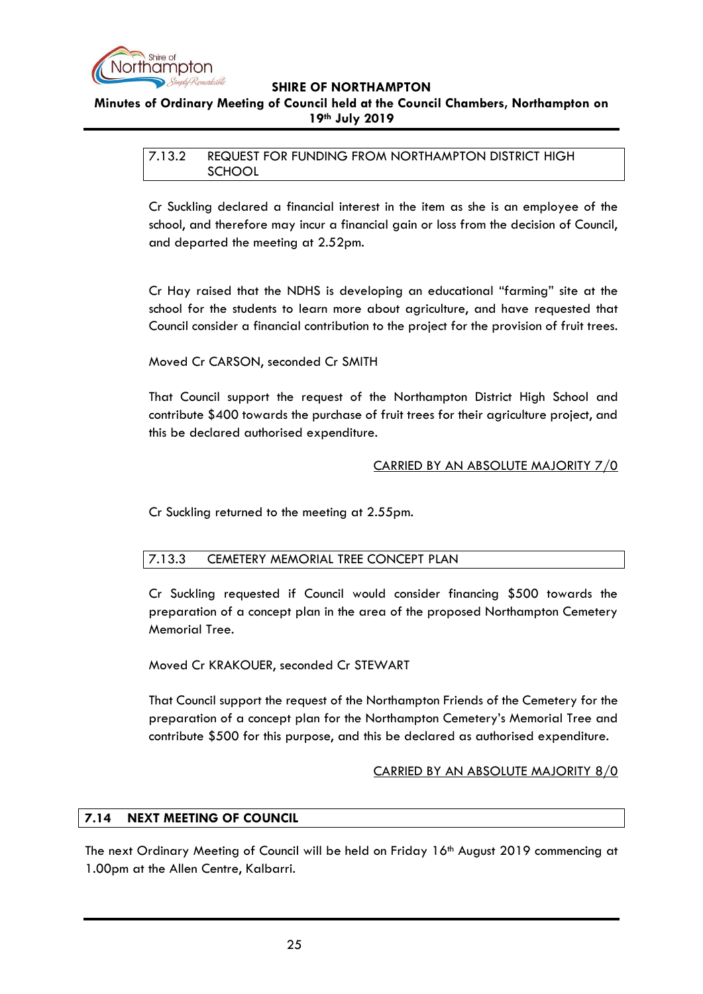

# <span id="page-24-0"></span>**Minutes of Ordinary Meeting of Council held at the Council Chambers, Northampton on 19th July 2019**

# 7.13.2 REQUEST FOR FUNDING FROM NORTHAMPTON DISTRICT HIGH **SCHOOL**

Cr Suckling declared a financial interest in the item as she is an employee of the school, and therefore may incur a financial gain or loss from the decision of Council, and departed the meeting at 2.52pm.

Cr Hay raised that the NDHS is developing an educational "farming" site at the school for the students to learn more about agriculture, and have requested that Council consider a financial contribution to the project for the provision of fruit trees.

Moved Cr CARSON, seconded Cr SMITH

That Council support the request of the Northampton District High School and contribute \$400 towards the purchase of fruit trees for their agriculture project, and this be declared authorised expenditure.

# CARRIED BY AN ABSOLUTE MAJORITY 7/0

Cr Suckling returned to the meeting at 2.55pm.

# <span id="page-24-1"></span>7.13.3 CEMETERY MEMORIAL TREE CONCEPT PLAN

Cr Suckling requested if Council would consider financing \$500 towards the preparation of a concept plan in the area of the proposed Northampton Cemetery Memorial Tree.

Moved Cr KRAKOUER, seconded Cr STEWART

That Council support the request of the Northampton Friends of the Cemetery for the preparation of a concept plan for the Northampton Cemetery's Memorial Tree and contribute \$500 for this purpose, and this be declared as authorised expenditure.

# CARRIED BY AN ABSOLUTE MAJORITY 8/0

# <span id="page-24-2"></span>**7.14 NEXT MEETING OF COUNCIL**

The next Ordinary Meeting of Council will be held on Friday 16<sup>th</sup> August 2019 commencing at 1.00pm at the Allen Centre, Kalbarri.